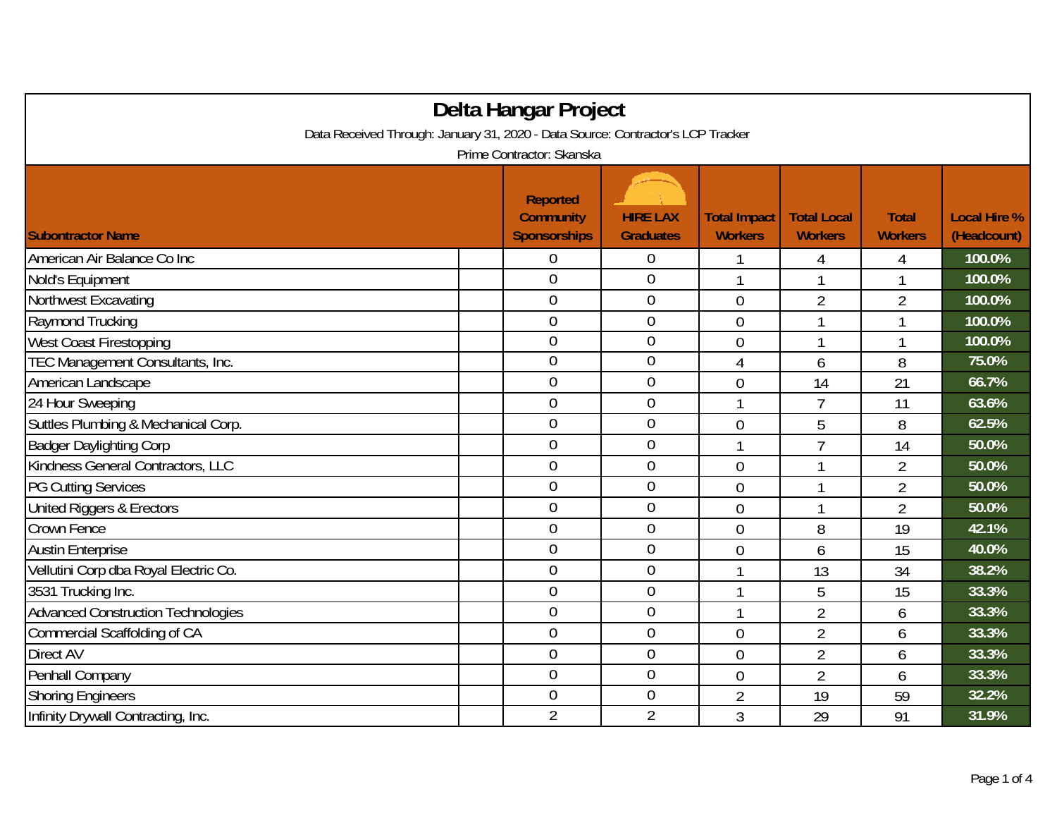| Delta Hangar Project                                                            |  |                                                            |                                     |                                       |                                      |                                |                                    |  |  |
|---------------------------------------------------------------------------------|--|------------------------------------------------------------|-------------------------------------|---------------------------------------|--------------------------------------|--------------------------------|------------------------------------|--|--|
| Data Received Through: January 31, 2020 - Data Source: Contractor's LCP Tracker |  |                                                            |                                     |                                       |                                      |                                |                                    |  |  |
| Prime Contractor: Skanska                                                       |  |                                                            |                                     |                                       |                                      |                                |                                    |  |  |
| <b>Subontractor Name</b>                                                        |  | <b>Reported</b><br><b>Community</b><br><b>Sponsorships</b> | <b>HIRE LAX</b><br><b>Graduates</b> | <b>Total Impact</b><br><b>Workers</b> | <b>Total Local</b><br><b>Workers</b> | <b>Total</b><br><b>Workers</b> | <b>Local Hire %</b><br>(Headcount) |  |  |
| American Air Balance Co Inc                                                     |  | 0                                                          | $\boldsymbol{0}$                    | 1                                     | 4                                    | 4                              | 100.0%                             |  |  |
| Nold's Equipment                                                                |  | $\overline{0}$                                             | $\mathbf 0$                         | 1                                     | 1                                    | 1                              | 100.0%                             |  |  |
| Northwest Excavating                                                            |  | $\overline{0}$                                             | $\boldsymbol{0}$                    | $\overline{0}$                        | $\overline{2}$                       | $\overline{2}$                 | 100.0%                             |  |  |
| Raymond Trucking                                                                |  | $\overline{0}$                                             | $\mathbf 0$                         | 0                                     |                                      | 1                              | 100.0%                             |  |  |
| <b>West Coast Firestopping</b>                                                  |  | $\overline{0}$                                             | $\mathbf 0$                         | 0                                     | 1                                    | 1                              | 100.0%                             |  |  |
| TEC Management Consultants, Inc.                                                |  | $\overline{0}$                                             | $\mathbf{0}$                        | 4                                     | 6                                    | 8                              | 75.0%                              |  |  |
| American Landscape                                                              |  | $\overline{0}$                                             | $\boldsymbol{0}$                    | $\overline{0}$                        | 14                                   | 21                             | 66.7%                              |  |  |
| 24 Hour Sweeping                                                                |  | $\overline{0}$                                             | $\boldsymbol{0}$                    | 1                                     | $\overline{7}$                       | 11                             | 63.6%                              |  |  |
| Suttles Plumbing & Mechanical Corp.                                             |  | $\overline{0}$                                             | $\mathbf{0}$                        | $\overline{0}$                        | 5                                    | 8                              | 62.5%                              |  |  |
| <b>Badger Daylighting Corp</b>                                                  |  | $\mathbf 0$                                                | $\mathbf{0}$                        | 1                                     | $\overline{7}$                       | 14                             | 50.0%                              |  |  |
| Kindness General Contractors, LLC                                               |  | $\overline{0}$                                             | $\boldsymbol{0}$                    | 0                                     |                                      | $\overline{2}$                 | 50.0%                              |  |  |
| <b>PG Cutting Services</b>                                                      |  | $\overline{0}$                                             | $\mathbf 0$                         | 0                                     | 1                                    | $\overline{2}$                 | 50.0%                              |  |  |
| United Riggers & Erectors                                                       |  | $\overline{0}$                                             | $\overline{0}$                      | $\overline{0}$                        | 1                                    | $\overline{2}$                 | 50.0%                              |  |  |
| Crown Fence                                                                     |  | $\overline{0}$                                             | $\mathbf{0}$                        | 0                                     | 8                                    | 19                             | 42.1%                              |  |  |
| <b>Austin Enterprise</b>                                                        |  | $\overline{0}$                                             | $\mathbf 0$                         | $\overline{0}$                        | 6                                    | 15                             | 40.0%                              |  |  |
| Vellutini Corp dba Royal Electric Co.                                           |  | $\overline{0}$                                             | $\boldsymbol{0}$                    | 1                                     | 13                                   | 34                             | 38.2%                              |  |  |
| 3531 Trucking Inc.                                                              |  | $\overline{0}$                                             | $\mathbf 0$                         | 1                                     | 5                                    | 15                             | 33.3%                              |  |  |
| <b>Advanced Construction Technologies</b>                                       |  | $\overline{0}$                                             | $\mathbf 0$                         | 1                                     | $\overline{2}$                       | 6                              | 33.3%                              |  |  |
| Commercial Scaffolding of CA                                                    |  | $\overline{0}$                                             | $\mathbf 0$                         | $\overline{0}$                        | $\overline{2}$                       | 6                              | 33.3%                              |  |  |
| Direct AV                                                                       |  | $\overline{0}$                                             | $\mathbf 0$                         | $\overline{0}$                        | $\overline{2}$                       | 6                              | 33.3%                              |  |  |
| Penhall Company                                                                 |  | $\mathbf 0$                                                | $\mathbf 0$                         | $\overline{0}$                        | $\overline{2}$                       | 6                              | 33.3%                              |  |  |
| <b>Shoring Engineers</b>                                                        |  | $\overline{0}$                                             | $\mathbf{0}$                        | $\overline{2}$                        | 19                                   | 59                             | 32.2%                              |  |  |
| Infinity Drywall Contracting, Inc.                                              |  | $\overline{2}$                                             | $\overline{2}$                      | 3                                     | 29                                   | 91                             | 31.9%                              |  |  |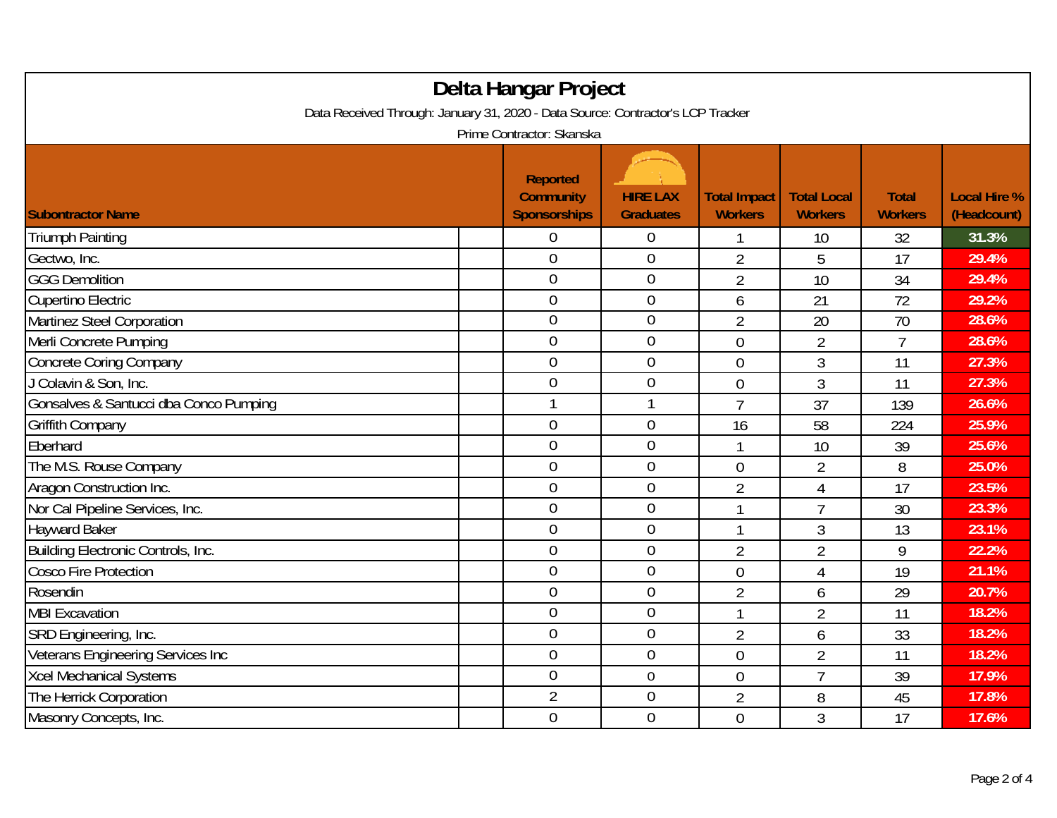| Delta Hangar Project<br>Data Received Through: January 31, 2020 - Data Source: Contractor's LCP Tracker |                                                     |                                     |                                       |                                      |                                |                                    |  |  |
|---------------------------------------------------------------------------------------------------------|-----------------------------------------------------|-------------------------------------|---------------------------------------|--------------------------------------|--------------------------------|------------------------------------|--|--|
| Prime Contractor: Skanska                                                                               |                                                     |                                     |                                       |                                      |                                |                                    |  |  |
| <b>Subontractor Name</b>                                                                                | <b>Reported</b><br><b>Community</b><br>Sponsorships | <b>HIRE LAX</b><br><b>Graduates</b> | <b>Total Impact</b><br><b>Workers</b> | <b>Total Local</b><br><b>Workers</b> | <b>Total</b><br><b>Workers</b> | <b>Local Hire %</b><br>(Headcount) |  |  |
| <b>Triumph Painting</b>                                                                                 | 0                                                   | $\boldsymbol{0}$                    |                                       | 10                                   | 32                             | 31.3%                              |  |  |
| Gectwo, Inc.                                                                                            | $\mathbf 0$                                         | $\mathbf 0$                         | $\overline{2}$                        | 5                                    | 17                             | 29.4%                              |  |  |
| <b>GGG Demolition</b>                                                                                   | $\mathbf 0$                                         | $\mathbf 0$                         | $\overline{2}$                        | 10                                   | 34                             | 29.4%                              |  |  |
| Cupertino Electric                                                                                      | $\mathbf{0}$                                        | $\mathbf 0$                         | 6                                     | 21                                   | 72                             | 29.2%                              |  |  |
| Martinez Steel Corporation                                                                              | $\mathbf 0$                                         | $\mathbf 0$                         | $\overline{2}$                        | 20                                   | 70                             | 28.6%                              |  |  |
| Merli Concrete Pumping                                                                                  | $\mathbf 0$                                         | $\mathbf 0$                         | $\overline{0}$                        | $\overline{2}$                       | $\overline{7}$                 | 28.6%                              |  |  |
| <b>Concrete Coring Company</b>                                                                          | $\overline{0}$                                      | $\mathbf 0$                         | $\overline{0}$                        | 3                                    | 11                             | 27.3%                              |  |  |
| J Colavin & Son, Inc.                                                                                   | $\mathbf 0$                                         | $\mathbf 0$                         | $\overline{0}$                        | 3                                    | 11                             | 27.3%                              |  |  |
| Gonsalves & Santucci dba Conco Pumping                                                                  | $\mathbf{1}$                                        | $\mathbf{1}$                        | $\overline{1}$                        | 37                                   | 139                            | 26.6%                              |  |  |
| <b>Griffith Company</b>                                                                                 | $\mathbf 0$                                         | $\mathbf 0$                         | 16                                    | 58                                   | 224                            | 25.9%                              |  |  |
| Eberhard                                                                                                | $\mathbf{0}$                                        | $\mathbf 0$                         | 1                                     | 10                                   | 39                             | 25.6%                              |  |  |
| The M.S. Rouse Company                                                                                  | $\boldsymbol{0}$                                    | $\mathbf 0$                         | $\boldsymbol{0}$                      | 2                                    | 8                              | 25.0%                              |  |  |
| Aragon Construction Inc.                                                                                | $\mathbf 0$                                         | $\mathbf 0$                         | $\overline{2}$                        | 4                                    | 17                             | 23.5%                              |  |  |
| Nor Cal Pipeline Services, Inc.                                                                         | $\mathbf{0}$                                        | $\mathbf 0$                         |                                       | $\overline{7}$                       | 30                             | 23.3%                              |  |  |
| <b>Hayward Baker</b>                                                                                    | $\boldsymbol{0}$                                    | $\mathbf 0$                         |                                       | 3                                    | 13                             | 23.1%                              |  |  |
| Building Electronic Controls, Inc.                                                                      | $\boldsymbol{0}$                                    | $\mathbf 0$                         | 2                                     | $\overline{2}$                       | 9                              | 22.2%                              |  |  |
| <b>Cosco Fire Protection</b>                                                                            | $\overline{0}$                                      | $\overline{0}$                      | $\overline{0}$                        | $\overline{4}$                       | 19                             | 21.1%                              |  |  |
| Rosendin                                                                                                | $\mathbf 0$                                         | $\mathbf 0$                         | $\overline{2}$                        | 6                                    | 29                             | 20.7%                              |  |  |
| <b>MBI Excavation</b>                                                                                   | $\mathbf 0$                                         | $\mathbf 0$                         |                                       | $\overline{2}$                       | 11                             | 18.2%                              |  |  |
| SRD Engineering, Inc.                                                                                   | $\mathbf{0}$                                        | $\mathbf 0$                         | $\overline{2}$                        | 6                                    | 33                             | 18.2%                              |  |  |
| Veterans Engineering Services Inc                                                                       | $\mathbf 0$                                         | $\mathbf 0$                         | $\overline{0}$                        | $\overline{2}$                       | 11                             | 18.2%                              |  |  |
| <b>Xcel Mechanical Systems</b>                                                                          | $\mathbf 0$                                         | $\boldsymbol{0}$                    | $\overline{0}$                        | $\overline{1}$                       | 39                             | 17.9%                              |  |  |
| The Herrick Corporation                                                                                 | $\overline{2}$                                      | $\boldsymbol{0}$                    | $\overline{2}$                        | 8                                    | 45                             | 17.8%                              |  |  |
| Masonry Concepts, Inc.                                                                                  | $\mathbf 0$                                         | $\mathbf 0$                         | $\overline{0}$                        | 3                                    | 17                             | 17.6%                              |  |  |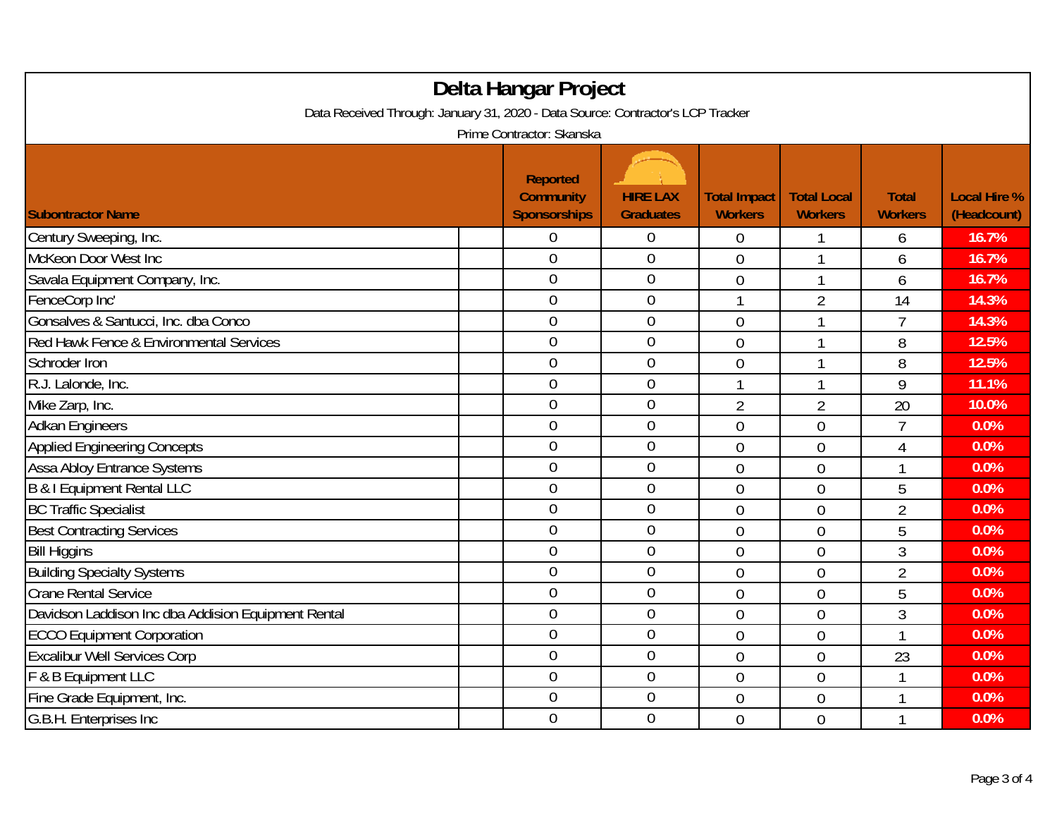| Delta Hangar Project<br>Data Received Through: January 31, 2020 - Data Source: Contractor's LCP Tracker |  |                                                            |                                     |                                       |                                      |                                |                                    |  |
|---------------------------------------------------------------------------------------------------------|--|------------------------------------------------------------|-------------------------------------|---------------------------------------|--------------------------------------|--------------------------------|------------------------------------|--|
| Prime Contractor: Skanska                                                                               |  |                                                            |                                     |                                       |                                      |                                |                                    |  |
| <b>Subontractor Name</b>                                                                                |  | <b>Reported</b><br><b>Community</b><br><b>Sponsorships</b> | <b>HIRE LAX</b><br><b>Graduates</b> | <b>Total Impact</b><br><b>Workers</b> | <b>Total Local</b><br><b>Workers</b> | <b>Total</b><br><b>Workers</b> | <b>Local Hire %</b><br>(Headcount) |  |
| Century Sweeping, Inc.                                                                                  |  | 0                                                          | $\boldsymbol{0}$                    | $\overline{0}$                        |                                      | 6                              | 16.7%                              |  |
| McKeon Door West Inc                                                                                    |  | $\overline{0}$                                             | $\mathbf 0$                         | $\overline{0}$                        | $\mathbf{1}$                         | 6                              | 16.7%                              |  |
| Savala Equipment Company, Inc.                                                                          |  | $\overline{0}$                                             | $\mathbf 0$                         | $\overline{0}$                        | 1                                    | 6                              | 16.7%                              |  |
| FenceCorp Inc'                                                                                          |  | $\overline{0}$                                             | $\mathbf 0$                         | 1                                     | $\overline{2}$                       | 14                             | 14.3%                              |  |
| Gonsalves & Santucci, Inc. dba Conco                                                                    |  | $\overline{0}$                                             | $\mathbf 0$                         | $\overline{0}$                        | 1                                    | $\overline{7}$                 | 14.3%                              |  |
| Red Hawk Fence & Environmental Services                                                                 |  | $\overline{0}$                                             | $\mathbf 0$                         | $\overline{0}$                        | 1                                    | 8                              | 12.5%                              |  |
| Schroder Iron                                                                                           |  | $\overline{0}$                                             | $\boldsymbol{0}$                    | $\overline{0}$                        | 1                                    | 8                              | 12.5%                              |  |
| R.J. Lalonde, Inc.                                                                                      |  | $\overline{0}$                                             | $\mathbf 0$                         | 1                                     | $\mathbf{1}$                         | 9                              | 11.1%                              |  |
| Mike Zarp, Inc.                                                                                         |  | $\overline{0}$                                             | $\boldsymbol{0}$                    | $\overline{2}$                        | $\overline{2}$                       | 20                             | 10.0%                              |  |
| <b>Adkan Engineers</b>                                                                                  |  | $\mathbf 0$                                                | $\boldsymbol{0}$                    | $\mathbf 0$                           | $\overline{0}$                       | $\overline{7}$                 | 0.0%                               |  |
| <b>Applied Engineering Concepts</b>                                                                     |  | $\overline{0}$                                             | $\mathbf 0$                         | 0                                     | $\overline{0}$                       | 4                              | 0.0%                               |  |
| <b>Assa Abloy Entrance Systems</b>                                                                      |  | $\overline{0}$                                             | $\mathbf 0$                         | 0                                     | $\overline{0}$                       | 1                              | 0.0%                               |  |
| B & I Equipment Rental LLC                                                                              |  | $\overline{0}$                                             | $\mathbf 0$                         | $\overline{0}$                        | $\overline{0}$                       | 5                              | 0.0%                               |  |
| <b>BC Traffic Specialist</b>                                                                            |  | $\overline{0}$                                             | $\mathbf 0$                         | $\overline{0}$                        | $\overline{0}$                       | $\overline{2}$                 | 0.0%                               |  |
| <b>Best Contracting Services</b>                                                                        |  | $\overline{0}$                                             | $\boldsymbol{0}$                    | $\overline{0}$                        | $\overline{0}$                       | 5                              | 0.0%                               |  |
| <b>Bill Higgins</b>                                                                                     |  | $\mathbf 0$                                                | $\mathbf 0$                         | $\overline{0}$                        | $\overline{0}$                       | 3                              | 0.0%                               |  |
| <b>Building Specialty Systems</b>                                                                       |  | $\overline{0}$                                             | $\overline{0}$                      | $\overline{0}$                        | $\overline{0}$                       | $\overline{2}$                 | 0.0%                               |  |
| <b>Crane Rental Service</b>                                                                             |  | 0                                                          | $\mathbf 0$                         | $\overline{0}$                        | $\overline{0}$                       | 5                              | 0.0%                               |  |
| Davidson Laddison Inc dba Addision Equipment Rental                                                     |  | $\overline{0}$                                             | $\boldsymbol{0}$                    | $\overline{0}$                        | $\overline{0}$                       | $\overline{3}$                 | 0.0%                               |  |
| <b>ECCO Equipment Corporation</b>                                                                       |  | $\overline{0}$                                             | $\boldsymbol{0}$                    | $\overline{0}$                        | $\overline{0}$                       | 1                              | 0.0%                               |  |
| <b>Excalibur Well Services Corp</b>                                                                     |  | $\mathbf 0$                                                | $\boldsymbol{0}$                    | $\overline{0}$                        | $\overline{0}$                       | 23                             | 0.0%                               |  |
| F & B Equipment LLC                                                                                     |  | $\overline{0}$                                             | $\mathbf 0$                         | 0                                     | $\overline{0}$                       | 1                              | 0.0%                               |  |
| Fine Grade Equipment, Inc.                                                                              |  | $\mathbf 0$                                                | $\boldsymbol{0}$                    | $\boldsymbol{0}$                      | $\overline{0}$                       | 1                              | 0.0%                               |  |
| G.B.H. Enterprises Inc                                                                                  |  | $\overline{0}$                                             | $\mathbf 0$                         | $\overline{0}$                        | $\overline{0}$                       | 1                              | 0.0%                               |  |